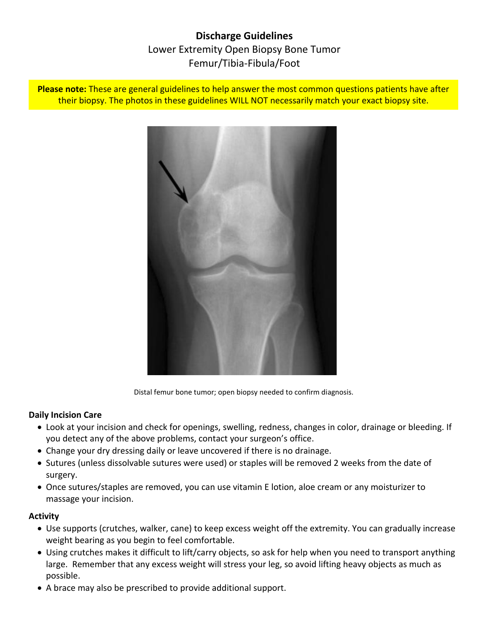# **Discharge Guidelines** Lower Extremity Open Biopsy Bone Tumor Femur/Tibia-Fibula/Foot

**Please note:** These are general guidelines to help answer the most common questions patients have after their biopsy. The photos in these guidelines WILL NOT necessarily match your exact biopsy site.



Distal femur bone tumor; open biopsy needed to confirm diagnosis.

#### **Daily Incision Care**

- Look at your incision and check for openings, swelling, redness, changes in color, drainage or bleeding. If you detect any of the above problems, contact your surgeon's office.
- Change your dry dressing daily or leave uncovered if there is no drainage.
- Sutures (unless dissolvable sutures were used) or staples will be removed 2 weeks from the date of surgery.
- Once sutures/staples are removed, you can use vitamin E lotion, aloe cream or any moisturizer to massage your incision.

#### **Activity**

- Use supports (crutches, walker, cane) to keep excess weight off the extremity. You can gradually increase weight bearing as you begin to feel comfortable.
- Using crutches makes it difficult to lift/carry objects, so ask for help when you need to transport anything large. Remember that any excess weight will stress your leg, so avoid lifting heavy objects as much as possible.
- A brace may also be prescribed to provide additional support.